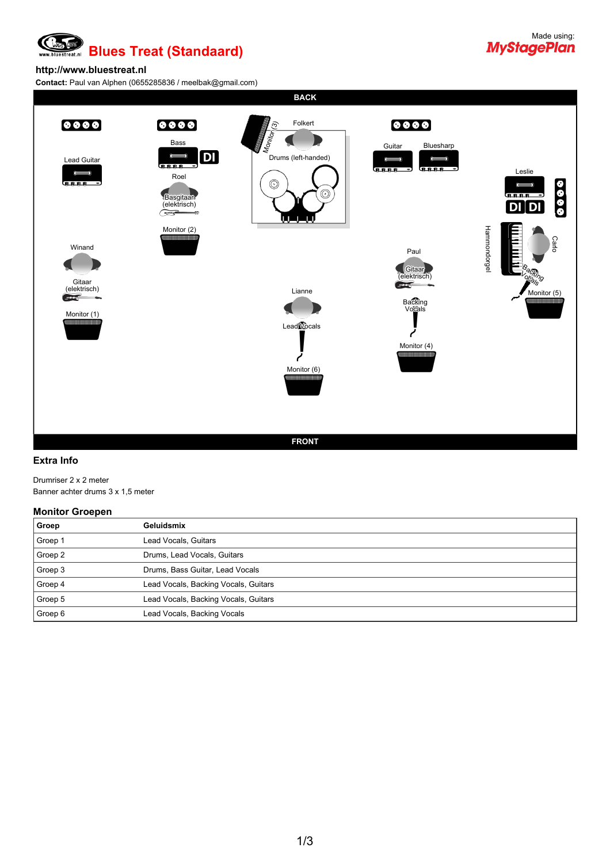### Œ **Blues Treat (Standaard)**

# Made using:<br>**MyStagePlan**

#### **http://www.bluestreat.nl**

**Contact:** Paul van Alphen (0655285836 / meelbak@gmail.com)

**BACK**



#### **Extra Info**

Drumriser 2 x 2 meter Banner achter drums 3 x 1,5 meter

#### **Monitor Groepen**

| Groep   | Geluidsmix                           |
|---------|--------------------------------------|
| Groep 1 | Lead Vocals, Guitars                 |
| Groep 2 | Drums, Lead Vocals, Guitars          |
| Groep 3 | Drums, Bass Guitar, Lead Vocals      |
| Groep 4 | Lead Vocals, Backing Vocals, Guitars |
| Groep 5 | Lead Vocals, Backing Vocals, Guitars |
| Groep 6 | Lead Vocals, Backing Vocals          |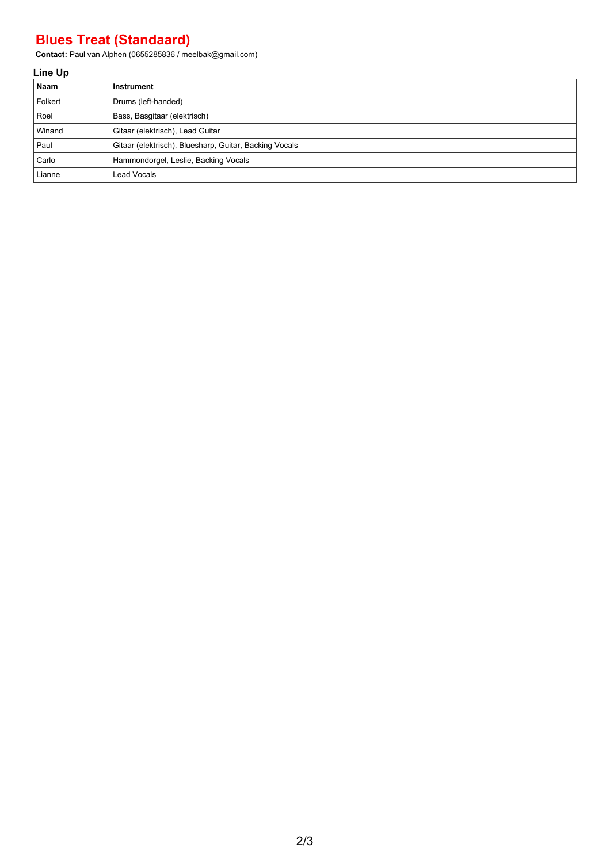## **Blues Treat (Standaard)**

**Contact:** Paul van Alphen (0655285836 / meelbak@gmail.com)

| Line Up |                                                        |  |  |
|---------|--------------------------------------------------------|--|--|
| Naam    | Instrument                                             |  |  |
| Folkert | Drums (left-handed)                                    |  |  |
| l Roel  | Bass, Basgitaar (elektrisch)                           |  |  |
| Winand  | Gitaar (elektrisch), Lead Guitar                       |  |  |
| l Paul  | Gitaar (elektrisch), Bluesharp, Guitar, Backing Vocals |  |  |
| Carlo   | Hammondorgel, Leslie, Backing Vocals                   |  |  |
| Lianne  | Lead Vocals                                            |  |  |